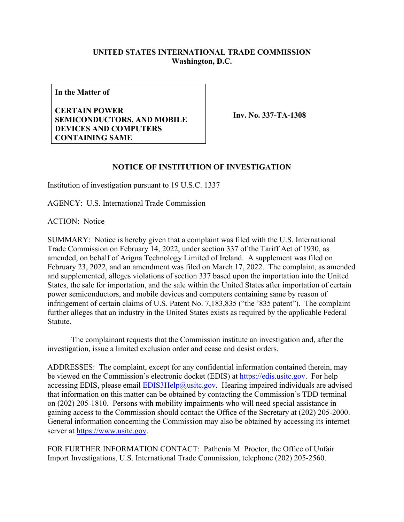## **UNITED STATES INTERNATIONAL TRADE COMMISSION Washington, D.C.**

**In the Matter of**

**CERTAIN POWER SEMICONDUCTORS, AND MOBILE DEVICES AND COMPUTERS CONTAINING SAME**

**Inv. No. 337-TA-1308**

## **NOTICE OF INSTITUTION OF INVESTIGATION**

Institution of investigation pursuant to 19 U.S.C. 1337

AGENCY: U.S. International Trade Commission

ACTION: Notice

SUMMARY: Notice is hereby given that a complaint was filed with the U.S. International Trade Commission on February 14, 2022, under section 337 of the Tariff Act of 1930, as amended, on behalf of Arigna Technology Limited of Ireland. A supplement was filed on February 23, 2022, and an amendment was filed on March 17, 2022. The complaint, as amended and supplemented, alleges violations of section 337 based upon the importation into the United States, the sale for importation, and the sale within the United States after importation of certain power semiconductors, and mobile devices and computers containing same by reason of infringement of certain claims of U.S. Patent No. 7,183,835 ("the '835 patent"). The complaint further alleges that an industry in the United States exists as required by the applicable Federal Statute.

The complainant requests that the Commission institute an investigation and, after the investigation, issue a limited exclusion order and cease and desist orders.

ADDRESSES: The complaint, except for any confidential information contained therein, may be viewed on the Commission's electronic docket (EDIS) at [https://edis.usitc.gov.](https://edis.usitc.gov/) For help accessing EDIS, please email  $EDIS3Help@usite.gov$ . Hearing impaired individuals are advised that information on this matter can be obtained by contacting the Commission's TDD terminal on (202) 205-1810. Persons with mobility impairments who will need special assistance in gaining access to the Commission should contact the Office of the Secretary at (202) 205-2000. General information concerning the Commission may also be obtained by accessing its internet server at [https://www.usitc.gov.](https://www.usitc.gov/)

FOR FURTHER INFORMATION CONTACT: Pathenia M. Proctor, the Office of Unfair Import Investigations, U.S. International Trade Commission, telephone (202) 205-2560.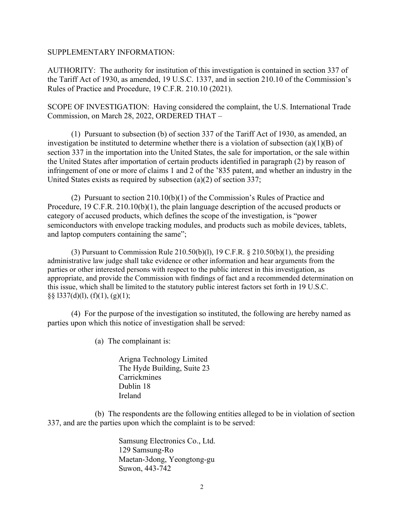## SUPPLEMENTARY INFORMATION:

AUTHORITY: The authority for institution of this investigation is contained in section 337 of the Tariff Act of 1930, as amended, 19 U.S.C. 1337, and in section 210.10 of the Commission's Rules of Practice and Procedure, 19 C.F.R. 210.10 (2021).

SCOPE OF INVESTIGATION: Having considered the complaint, the U.S. International Trade Commission, on March 28, 2022, ORDERED THAT –

(1) Pursuant to subsection (b) of section 337 of the Tariff Act of 1930, as amended, an investigation be instituted to determine whether there is a violation of subsection (a)(1)(B) of section 337 in the importation into the United States, the sale for importation, or the sale within the United States after importation of certain products identified in paragraph (2) by reason of infringement of one or more of claims 1 and 2 of the '835 patent, and whether an industry in the United States exists as required by subsection (a)(2) of section 337;

(2) Pursuant to section 210.10(b)(1) of the Commission's Rules of Practice and Procedure, 19 C.F.R. 210.10(b)(1), the plain language description of the accused products or category of accused products, which defines the scope of the investigation, is "power semiconductors with envelope tracking modules, and products such as mobile devices, tablets, and laptop computers containing the same";

(3) Pursuant to Commission Rule  $210.50(b)(1)$ , 19 C.F.R. § 210.50(b)(1), the presiding administrative law judge shall take evidence or other information and hear arguments from the parties or other interested persons with respect to the public interest in this investigation, as appropriate, and provide the Commission with findings of fact and a recommended determination on this issue, which shall be limited to the statutory public interest factors set forth in 19 U.S.C. §§ l337(d)(l), (f)(1), (g)(1);

(4) For the purpose of the investigation so instituted, the following are hereby named as parties upon which this notice of investigation shall be served:

(a) The complainant is:

Arigna Technology Limited The Hyde Building, Suite 23 **Carrickmines** Dublin 18 Ireland

(b) The respondents are the following entities alleged to be in violation of section 337, and are the parties upon which the complaint is to be served:

> Samsung Electronics Co., Ltd. 129 Samsung-Ro Maetan-3dong, Yeongtong-gu Suwon, 443-742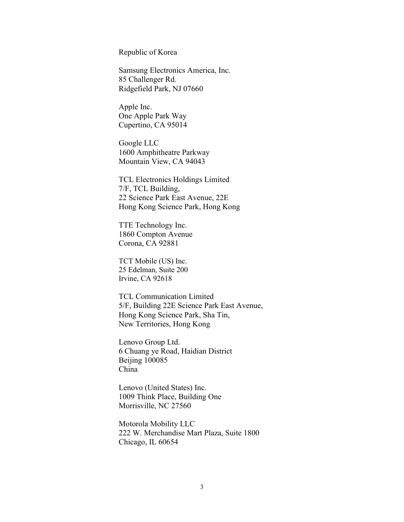Republic of Korea

Samsung Electronics America, Inc. 85 Challenger Rd. Ridgefield Park, NJ 07660

Apple Inc. One Apple Park Way Cupertino, CA 95014

Google LLC 1600 Amphitheatre Parkway Mountain View, CA 94043

TCL Electronics Holdings Limited 7/F, TCL Building, 22 Science Park East Avenue, 22E Hong Kong Science Park, Hong Kong

TTE Technology Inc. 1860 Compton Avenue Corona, CA 92881

TCT Mobile (US) Inc. 25 Edelman, Suite 200 Irvine, CA 92618

TCL Communication Limited 5/F, Building 22E Science Park East Avenue, Hong Kong Science Park, Sha Tin, New Territories, Hong Kong

Lenovo Group Ltd. 6 Chuang ye Road, Haidian District Beijing 100085 China

Lenovo (United States) Inc. 1009 Think Place, Building One Morrisville, NC 27560

Motorola Mobility LLC 222 W. Merchandise Mart Plaza, Suite 1800 Chicago, IL 60654